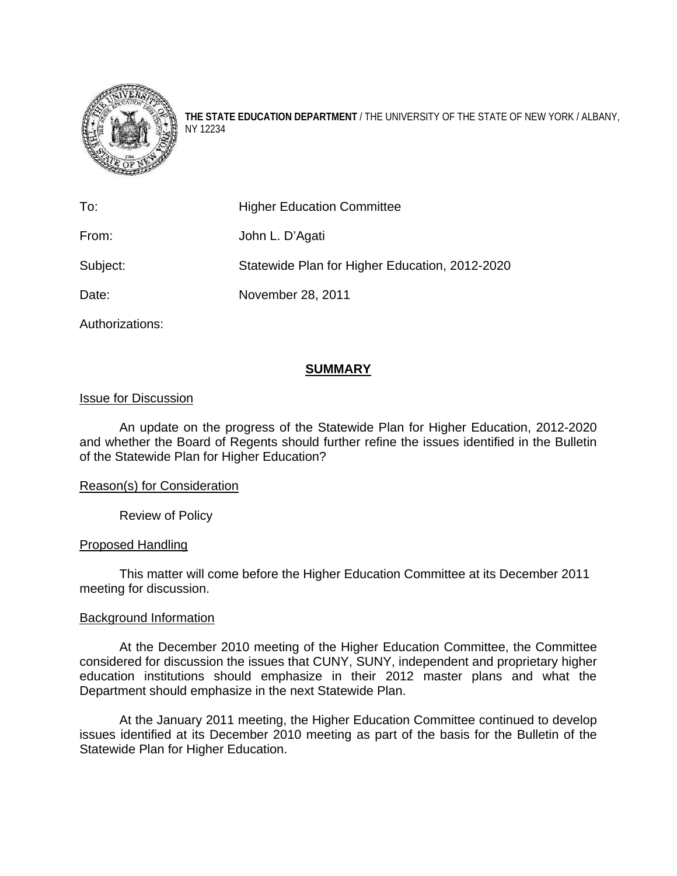

**THE STATE EDUCATION DEPARTMENT** / THE UNIVERSITY OF THE STATE OF NEW YORK / ALBANY, NY 12234

| To:             | <b>Higher Education Committee</b>              |
|-----------------|------------------------------------------------|
| From:           | John L. D'Agati                                |
| Subject:        | Statewide Plan for Higher Education, 2012-2020 |
| Date:           | November 28, 2011                              |
| Authorizations: |                                                |

### **SUMMARY**

### Issue for Discussion

An update on the progress of the Statewide Plan for Higher Education, 2012-2020 and whether the Board of Regents should further refine the issues identified in the Bulletin of the Statewide Plan for Higher Education?

### Reason(s) for Consideration

Review of Policy

### Proposed Handling

This matter will come before the Higher Education Committee at its December 2011 meeting for discussion.

### Background Information

 At the December 2010 meeting of the Higher Education Committee, the Committee considered for discussion the issues that CUNY, SUNY, independent and proprietary higher education institutions should emphasize in their 2012 master plans and what the Department should emphasize in the next Statewide Plan.

 At the January 2011 meeting, the Higher Education Committee continued to develop issues identified at its December 2010 meeting as part of the basis for the Bulletin of the Statewide Plan for Higher Education.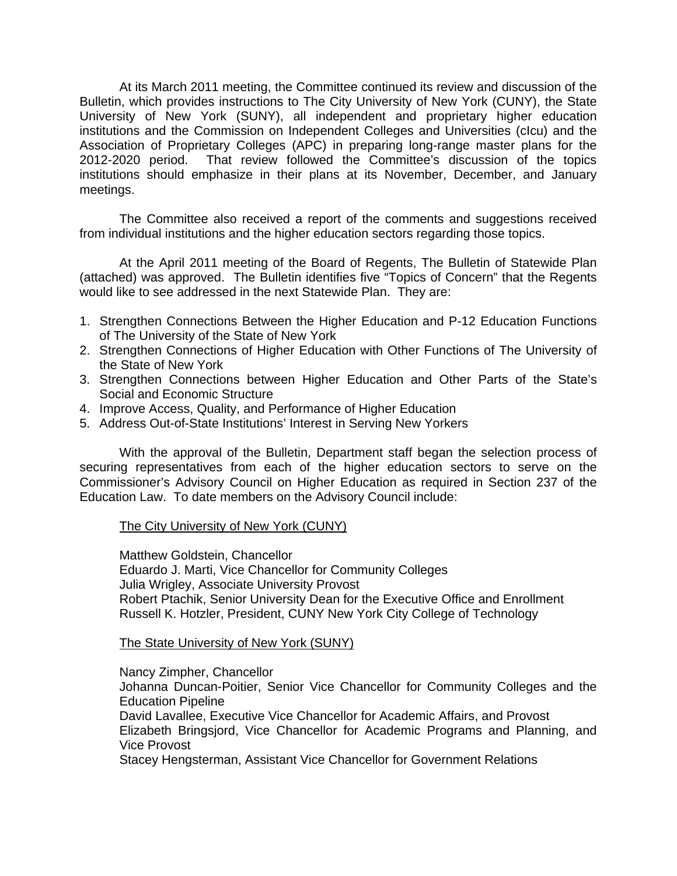At its March 2011 meeting, the Committee continued its review and discussion of the Bulletin, which provides instructions to The City University of New York (CUNY), the State University of New York (SUNY), all independent and proprietary higher education institutions and the Commission on Independent Colleges and Universities (cIcu) and the Association of Proprietary Colleges (APC) in preparing long-range master plans for the 2012-2020 period. That review followed the Committee's discussion of the topics institutions should emphasize in their plans at its November, December, and January meetings.

The Committee also received a report of the comments and suggestions received from individual institutions and the higher education sectors regarding those topics.

At the April 2011 meeting of the Board of Regents, The Bulletin of Statewide Plan (attached) was approved. The Bulletin identifies five "Topics of Concern" that the Regents would like to see addressed in the next Statewide Plan. They are:

- 1. Strengthen Connections Between the Higher Education and P-12 Education Functions of The University of the State of New York
- 2. Strengthen Connections of Higher Education with Other Functions of The University of the State of New York
- 3. Strengthen Connections between Higher Education and Other Parts of the State's Social and Economic Structure
- 4. Improve Access, Quality, and Performance of Higher Education
- 5. Address Out-of-State Institutions' Interest in Serving New Yorkers

With the approval of the Bulletin, Department staff began the selection process of securing representatives from each of the higher education sectors to serve on the Commissioner's Advisory Council on Higher Education as required in Section 237 of the Education Law. To date members on the Advisory Council include:

### The City University of New York (CUNY)

Matthew Goldstein, Chancellor Eduardo J. Marti, Vice Chancellor for Community Colleges Julia Wrigley, Associate University Provost Robert Ptachik, Senior University Dean for the Executive Office and Enrollment Russell K. Hotzler, President, CUNY New York City College of Technology

### The State University of New York (SUNY)

Nancy Zimpher, Chancellor Johanna Duncan-Poitier, Senior Vice Chancellor for Community Colleges and the Education Pipeline David Lavallee, Executive Vice Chancellor for Academic Affairs, and Provost Elizabeth Bringsjord, Vice Chancellor for Academic Programs and Planning, and Vice Provost

Stacey Hengsterman, Assistant Vice Chancellor for Government Relations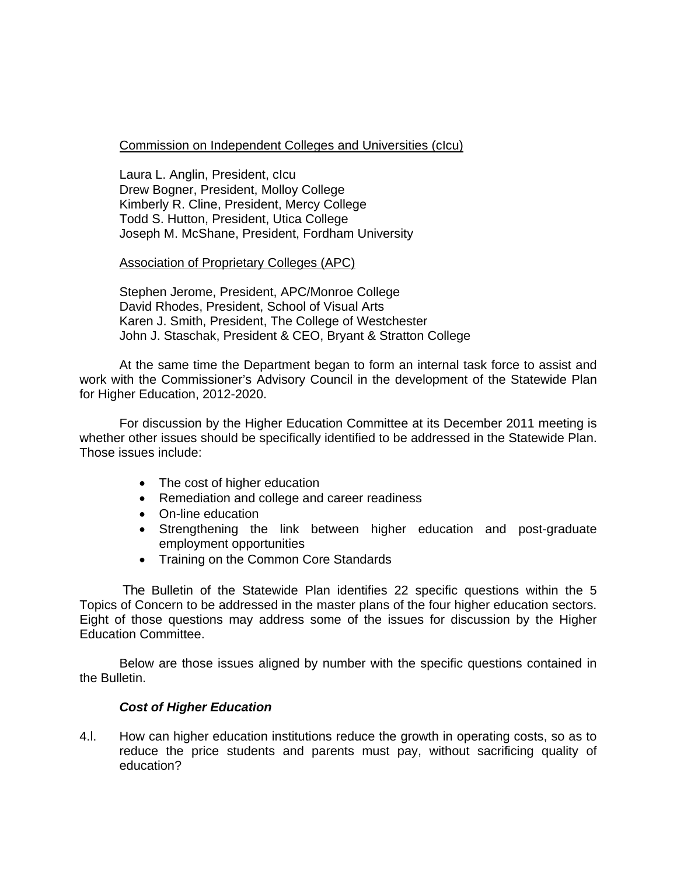### Commission on Independent Colleges and Universities (cIcu)

Laura L. Anglin, President, cIcu Drew Bogner, President, Molloy College Kimberly R. Cline, President, Mercy College Todd S. Hutton, President, Utica College Joseph M. McShane, President, Fordham University

### Association of Proprietary Colleges (APC)

Stephen Jerome, President, APC/Monroe College David Rhodes, President, School of Visual Arts Karen J. Smith, President, The College of Westchester John J. Staschak, President & CEO, Bryant & Stratton College

At the same time the Department began to form an internal task force to assist and work with the Commissioner's Advisory Council in the development of the Statewide Plan for Higher Education, 2012-2020.

For discussion by the Higher Education Committee at its December 2011 meeting is whether other issues should be specifically identified to be addressed in the Statewide Plan. Those issues include:

- The cost of higher education
- Remediation and college and career readiness
- On-line education
- Strengthening the link between higher education and post-graduate employment opportunities
- Training on the Common Core Standards

The Bulletin of the Statewide Plan identifies 22 specific questions within the 5 Topics of Concern to be addressed in the master plans of the four higher education sectors. Eight of those questions may address some of the issues for discussion by the Higher Education Committee.

Below are those issues aligned by number with the specific questions contained in the Bulletin.

### *Cost of Higher Education*

4.l. How can higher education institutions reduce the growth in operating costs, so as to reduce the price students and parents must pay, without sacrificing quality of education?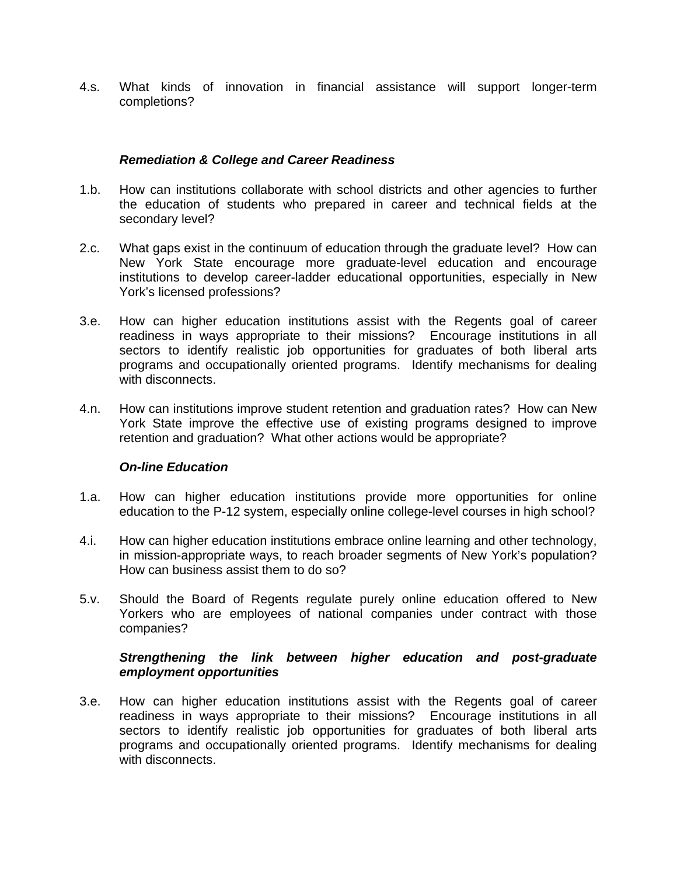4.s. What kinds of innovation in financial assistance will support longer-term completions?

### *Remediation & College and Career Readiness*

- 1.b. How can institutions collaborate with school districts and other agencies to further the education of students who prepared in career and technical fields at the secondary level?
- 2.c. What gaps exist in the continuum of education through the graduate level? How can New York State encourage more graduate-level education and encourage institutions to develop career-ladder educational opportunities, especially in New York's licensed professions?
- 3.e. How can higher education institutions assist with the Regents goal of career readiness in ways appropriate to their missions? Encourage institutions in all sectors to identify realistic job opportunities for graduates of both liberal arts programs and occupationally oriented programs. Identify mechanisms for dealing with disconnects.
- 4.n. How can institutions improve student retention and graduation rates? How can New York State improve the effective use of existing programs designed to improve retention and graduation? What other actions would be appropriate?

### *On-line Education*

- 1.a. How can higher education institutions provide more opportunities for online education to the P-12 system, especially online college-level courses in high school?
- 4.i. How can higher education institutions embrace online learning and other technology, in mission-appropriate ways, to reach broader segments of New York's population? How can business assist them to do so?
- 5.v. Should the Board of Regents regulate purely online education offered to New Yorkers who are employees of national companies under contract with those companies?

### *Strengthening the link between higher education and post-graduate employment opportunities*

3.e. How can higher education institutions assist with the Regents goal of career readiness in ways appropriate to their missions? Encourage institutions in all sectors to identify realistic job opportunities for graduates of both liberal arts programs and occupationally oriented programs. Identify mechanisms for dealing with disconnects.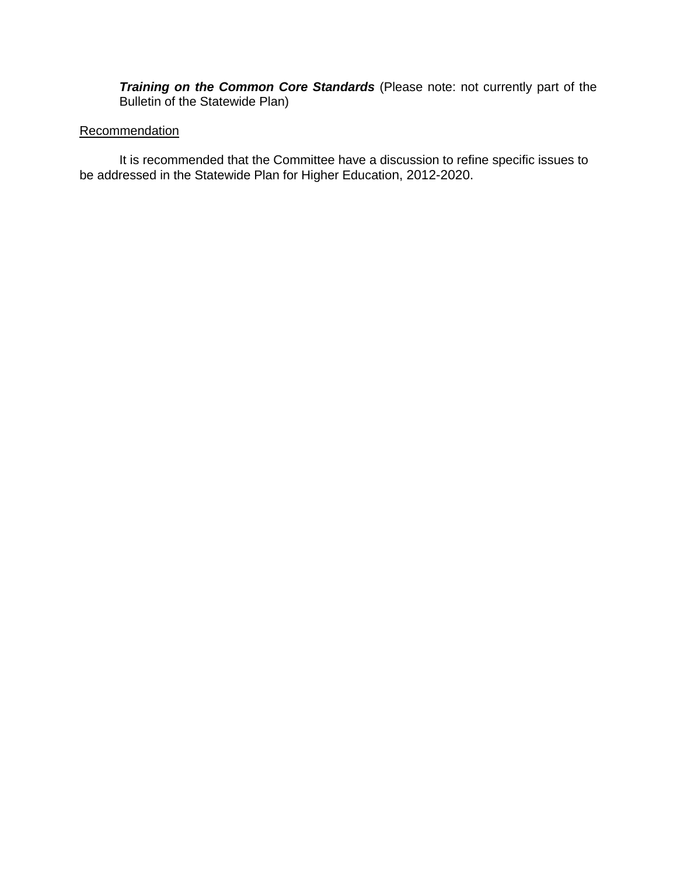*Training on the Common Core Standards* (Please note: not currently part of the Bulletin of the Statewide Plan)

### **Recommendation**

It is recommended that the Committee have a discussion to refine specific issues to be addressed in the Statewide Plan for Higher Education, 2012-2020.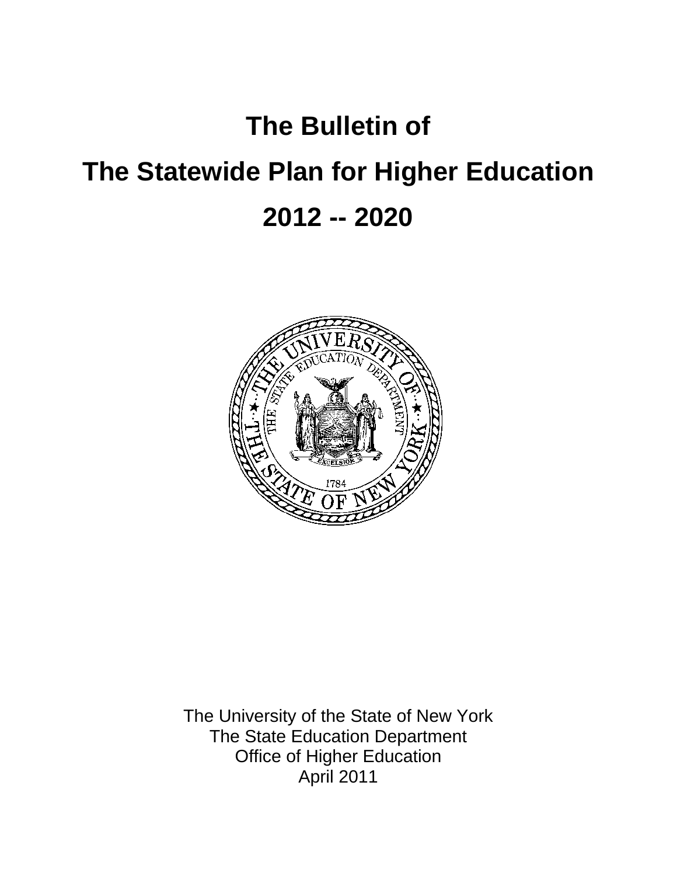# **The Bulletin of**

# **The Statewide Plan for Higher Education 2012 -- 2020**



The University of the State of New York The State Education Department Office of Higher Education April 2011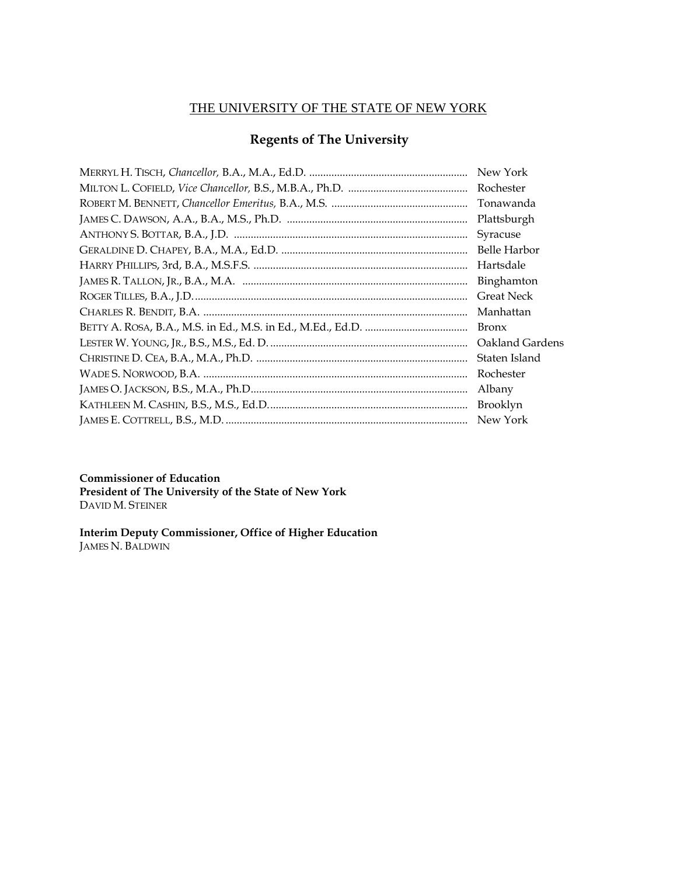# THE UNIVERSITY OF THE STATE OF NEW YORK

# **Regents of The University**

| New York            |
|---------------------|
| Rochester           |
| Tonawanda           |
| Plattsburgh         |
| Syracuse            |
| <b>Belle Harbor</b> |
| Hartsdale           |
| Binghamton          |
| <b>Great Neck</b>   |
| Manhattan           |
| <b>Bronx</b>        |
| Oakland Gardens     |
| Staten Island       |
| Rochester           |
| Albany              |
| Brooklyn            |
| New York            |
|                     |

**Commissioner of Education**

**President of The University of the State of New York** DAVID M. STEINER

**Interim Deputy Commissioner, Office of Higher Education**  JAMES N. BALDWIN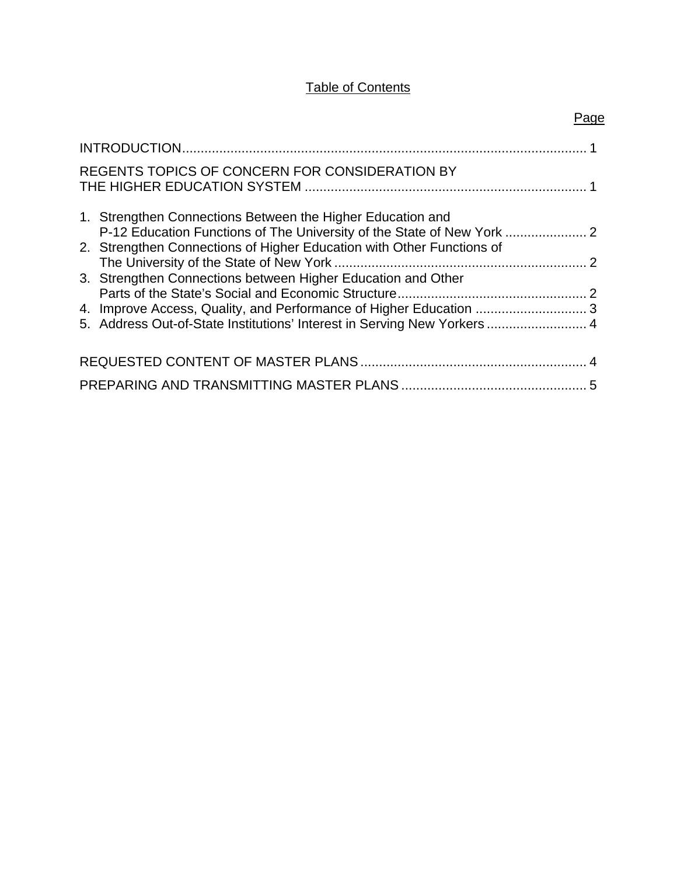# **Table of Contents**

|--|

| REGENTS TOPICS OF CONCERN FOR CONSIDERATION BY                                                                                       |  |
|--------------------------------------------------------------------------------------------------------------------------------------|--|
| 1. Strengthen Connections Between the Higher Education and<br>P-12 Education Functions of The University of the State of New York  2 |  |
| 2. Strengthen Connections of Higher Education with Other Functions of                                                                |  |
| 3. Strengthen Connections between Higher Education and Other                                                                         |  |
| 4. Improve Access, Quality, and Performance of Higher Education 3                                                                    |  |
| 5. Address Out-of-State Institutions' Interest in Serving New Yorkers  4                                                             |  |
|                                                                                                                                      |  |
|                                                                                                                                      |  |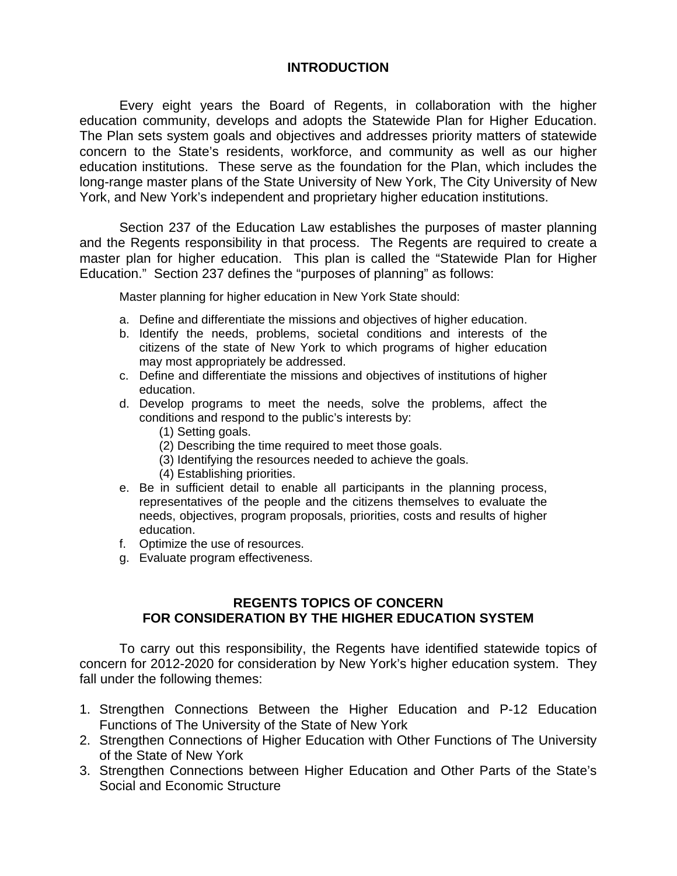# **INTRODUCTION**

Every eight years the Board of Regents, in collaboration with the higher education community, develops and adopts the Statewide Plan for Higher Education. The Plan sets system goals and objectives and addresses priority matters of statewide concern to the State's residents, workforce, and community as well as our higher education institutions. These serve as the foundation for the Plan, which includes the long-range master plans of the State University of New York, The City University of New York, and New York's independent and proprietary higher education institutions.

Section 237 of the Education Law establishes the purposes of master planning and the Regents responsibility in that process. The Regents are required to create a master plan for higher education. This plan is called the "Statewide Plan for Higher Education." Section 237 defines the "purposes of planning" as follows:

Master planning for higher education in New York State should:

- a. Define and differentiate the missions and objectives of higher education.
- b. Identify the needs, problems, societal conditions and interests of the citizens of the state of New York to which programs of higher education may most appropriately be addressed.
- c. Define and differentiate the missions and objectives of institutions of higher education.
- d. Develop programs to meet the needs, solve the problems, affect the conditions and respond to the public's interests by:
	- (1) Setting goals.
	- (2) Describing the time required to meet those goals.
	- (3) Identifying the resources needed to achieve the goals.
	- (4) Establishing priorities.
- e. Be in sufficient detail to enable all participants in the planning process, representatives of the people and the citizens themselves to evaluate the needs, objectives, program proposals, priorities, costs and results of higher education.
- f. Optimize the use of resources.
- g. Evaluate program effectiveness.

# **REGENTS TOPICS OF CONCERN FOR CONSIDERATION BY THE HIGHER EDUCATION SYSTEM**

To carry out this responsibility, the Regents have identified statewide topics of concern for 2012-2020 for consideration by New York's higher education system. They fall under the following themes:

- 1. Strengthen Connections Between the Higher Education and P-12 Education Functions of The University of the State of New York
- 2. Strengthen Connections of Higher Education with Other Functions of The University of the State of New York
- 3. Strengthen Connections between Higher Education and Other Parts of the State's Social and Economic Structure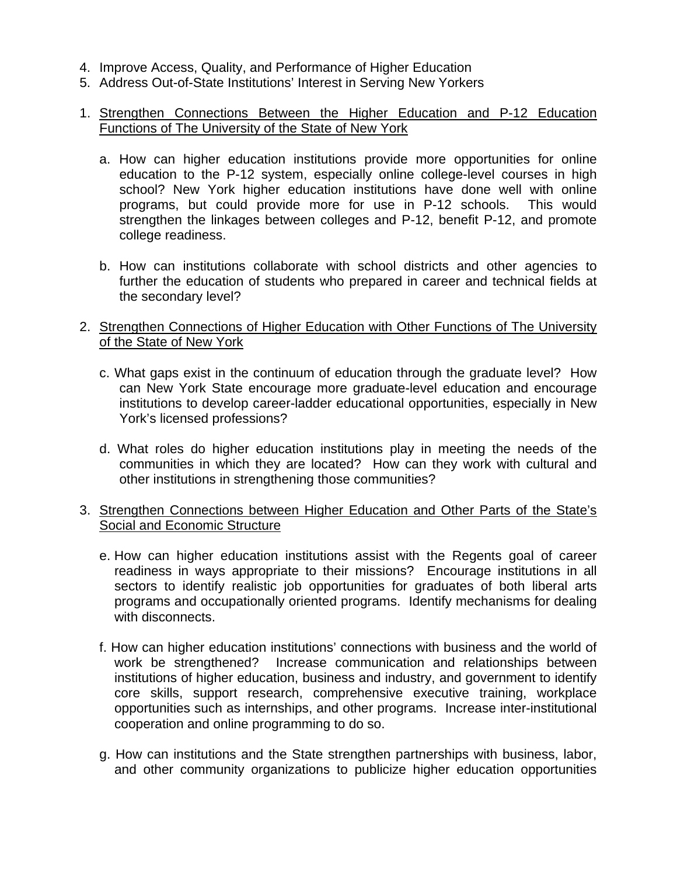- 4. Improve Access, Quality, and Performance of Higher Education
- 5. Address Out-of-State Institutions' Interest in Serving New Yorkers

# 1. Strengthen Connections Between the Higher Education and P-12 Education Functions of The University of the State of New York

- a. How can higher education institutions provide more opportunities for online education to the P-12 system, especially online college-level courses in high school? New York higher education institutions have done well with online programs, but could provide more for use in P-12 schools. This would strengthen the linkages between colleges and P-12, benefit P-12, and promote college readiness.
- b. How can institutions collaborate with school districts and other agencies to further the education of students who prepared in career and technical fields at the secondary level?
- 2. Strengthen Connections of Higher Education with Other Functions of The University of the State of New York
	- c. What gaps exist in the continuum of education through the graduate level? How can New York State encourage more graduate-level education and encourage institutions to develop career-ladder educational opportunities, especially in New York's licensed professions?
	- d. What roles do higher education institutions play in meeting the needs of the communities in which they are located? How can they work with cultural and other institutions in strengthening those communities?
- 3. Strengthen Connections between Higher Education and Other Parts of the State's Social and Economic Structure
	- e. How can higher education institutions assist with the Regents goal of career readiness in ways appropriate to their missions? Encourage institutions in all sectors to identify realistic job opportunities for graduates of both liberal arts programs and occupationally oriented programs. Identify mechanisms for dealing with disconnects.
	- f. How can higher education institutions' connections with business and the world of work be strengthened? Increase communication and relationships between institutions of higher education, business and industry, and government to identify core skills, support research, comprehensive executive training, workplace opportunities such as internships, and other programs. Increase inter-institutional cooperation and online programming to do so.
	- g. How can institutions and the State strengthen partnerships with business, labor, and other community organizations to publicize higher education opportunities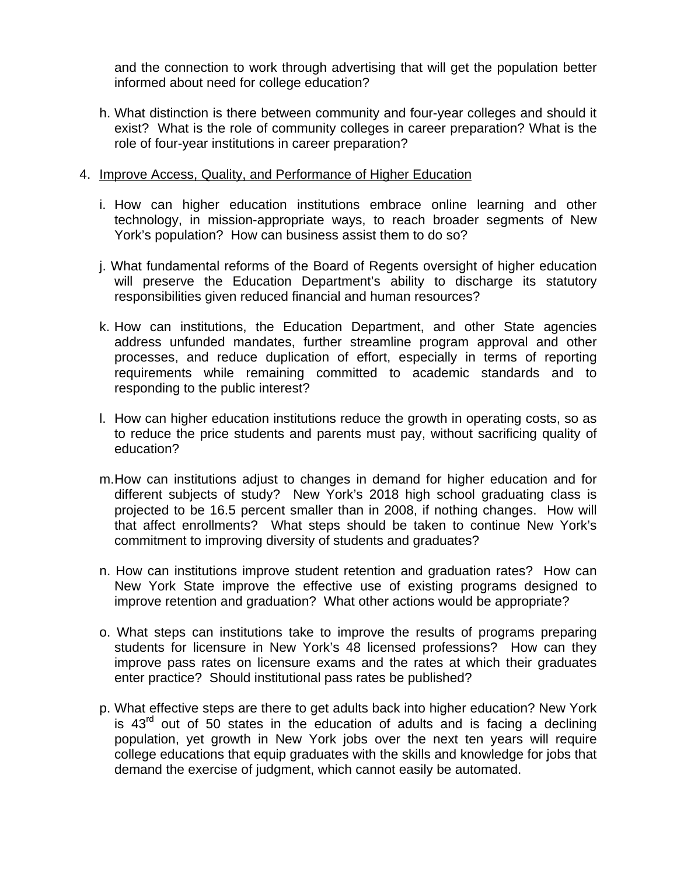and the connection to work through advertising that will get the population better informed about need for college education?

h. What distinction is there between community and four-year colleges and should it exist? What is the role of community colleges in career preparation? What is the role of four-year institutions in career preparation?

### 4. Improve Access, Quality, and Performance of Higher Education

- i. How can higher education institutions embrace online learning and other technology, in mission-appropriate ways, to reach broader segments of New York's population? How can business assist them to do so?
- j. What fundamental reforms of the Board of Regents oversight of higher education will preserve the Education Department's ability to discharge its statutory responsibilities given reduced financial and human resources?
- k. How can institutions, the Education Department, and other State agencies address unfunded mandates, further streamline program approval and other processes, and reduce duplication of effort, especially in terms of reporting requirements while remaining committed to academic standards and to responding to the public interest?
- l. How can higher education institutions reduce the growth in operating costs, so as to reduce the price students and parents must pay, without sacrificing quality of education?
- m. How can institutions adjust to changes in demand for higher education and for different subjects of study? New York's 2018 high school graduating class is projected to be 16.5 percent smaller than in 2008, if nothing changes. How will that affect enrollments? What steps should be taken to continue New York's commitment to improving diversity of students and graduates?
- n. How can institutions improve student retention and graduation rates? How can New York State improve the effective use of existing programs designed to improve retention and graduation? What other actions would be appropriate?
- o. What steps can institutions take to improve the results of programs preparing students for licensure in New York's 48 licensed professions? How can they improve pass rates on licensure exams and the rates at which their graduates enter practice? Should institutional pass rates be published?
- p. What effective steps are there to get adults back into higher education? New York is  $43<sup>rd</sup>$  out of 50 states in the education of adults and is facing a declining population, yet growth in New York jobs over the next ten years will require college educations that equip graduates with the skills and knowledge for jobs that demand the exercise of judgment, which cannot easily be automated.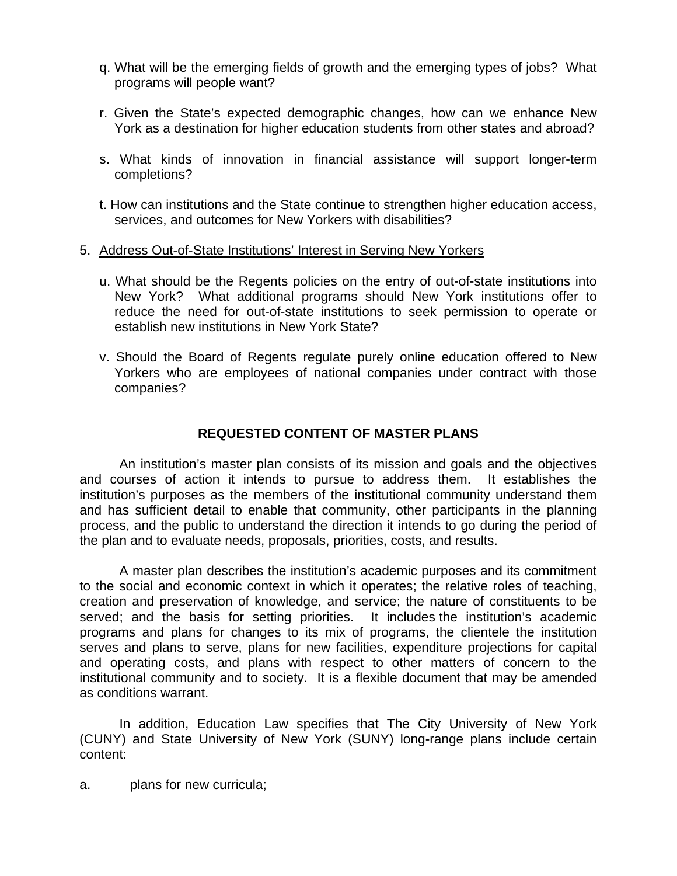- q. What will be the emerging fields of growth and the emerging types of jobs? What programs will people want?
- r. Given the State's expected demographic changes, how can we enhance New York as a destination for higher education students from other states and abroad?
- s. What kinds of innovation in financial assistance will support longer-term completions?
- t. How can institutions and the State continue to strengthen higher education access, services, and outcomes for New Yorkers with disabilities?

### 5. Address Out-of-State Institutions' Interest in Serving New Yorkers

- u. What should be the Regents policies on the entry of out-of-state institutions into New York? What additional programs should New York institutions offer to reduce the need for out-of-state institutions to seek permission to operate or establish new institutions in New York State?
- v. Should the Board of Regents regulate purely online education offered to New Yorkers who are employees of national companies under contract with those companies?

# **REQUESTED CONTENT OF MASTER PLANS**

An institution's master plan consists of its mission and goals and the objectives and courses of action it intends to pursue to address them. It establishes the institution's purposes as the members of the institutional community understand them and has sufficient detail to enable that community, other participants in the planning process, and the public to understand the direction it intends to go during the period of the plan and to evaluate needs, proposals, priorities, costs, and results.

A master plan describes the institution's academic purposes and its commitment to the social and economic context in which it operates; the relative roles of teaching, creation and preservation of knowledge, and service; the nature of constituents to be served; and the basis for setting priorities. It includes the institution's academic programs and plans for changes to its mix of programs, the clientele the institution serves and plans to serve, plans for new facilities, expenditure projections for capital and operating costs, and plans with respect to other matters of concern to the institutional community and to society. It is a flexible document that may be amended as conditions warrant.

In addition, Education Law specifies that The City University of New York (CUNY) and State University of New York (SUNY) long-range plans include certain content:

a. plans for new curricula;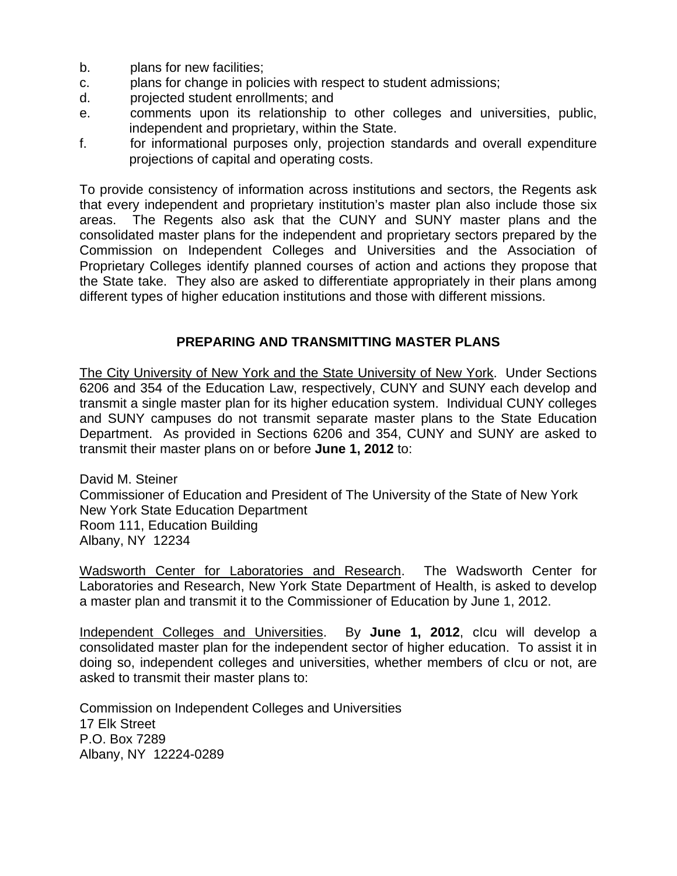- b. plans for new facilities;
- c. plans for change in policies with respect to student admissions;
- d. projected student enrollments; and
- e. comments upon its relationship to other colleges and universities, public, independent and proprietary, within the State.
- f. for informational purposes only, projection standards and overall expenditure projections of capital and operating costs.

To provide consistency of information across institutions and sectors, the Regents ask that every independent and proprietary institution's master plan also include those six areas. The Regents also ask that the CUNY and SUNY master plans and the consolidated master plans for the independent and proprietary sectors prepared by the Commission on Independent Colleges and Universities and the Association of Proprietary Colleges identify planned courses of action and actions they propose that the State take. They also are asked to differentiate appropriately in their plans among different types of higher education institutions and those with different missions.

# **PREPARING AND TRANSMITTING MASTER PLANS**

The City University of New York and the State University of New York. Under Sections 6206 and 354 of the Education Law, respectively, CUNY and SUNY each develop and transmit a single master plan for its higher education system. Individual CUNY colleges and SUNY campuses do not transmit separate master plans to the State Education Department. As provided in Sections 6206 and 354, CUNY and SUNY are asked to transmit their master plans on or before **June 1, 2012** to:

David M. Steiner Commissioner of Education and President of The University of the State of New York New York State Education Department Room 111, Education Building Albany, NY 12234

Wadsworth Center for Laboratories and Research. The Wadsworth Center for Laboratories and Research, New York State Department of Health, is asked to develop a master plan and transmit it to the Commissioner of Education by June 1, 2012.

Independent Colleges and Universities. By **June 1, 2012**, cIcu will develop a consolidated master plan for the independent sector of higher education. To assist it in doing so, independent colleges and universities, whether members of cIcu or not, are asked to transmit their master plans to:

Commission on Independent Colleges and Universities 17 Elk Street P.O. Box 7289 Albany, NY 12224-0289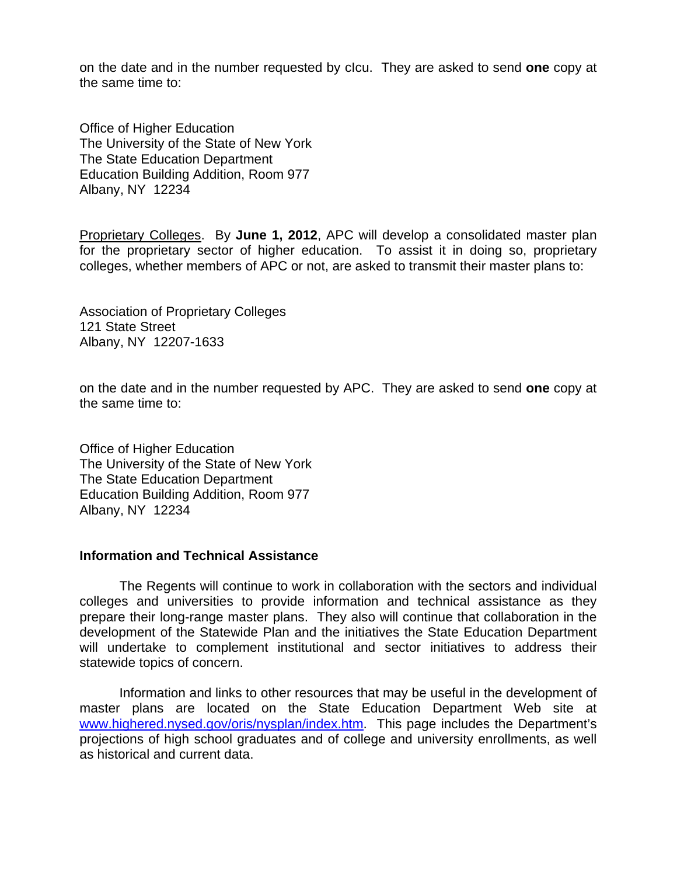on the date and in the number requested by cIcu. They are asked to send **one** copy at the same time to:

Office of Higher Education The University of the State of New York The State Education Department Education Building Addition, Room 977 Albany, NY 12234

Proprietary Colleges. By **June 1, 2012**, APC will develop a consolidated master plan for the proprietary sector of higher education. To assist it in doing so, proprietary colleges, whether members of APC or not, are asked to transmit their master plans to:

Association of Proprietary Colleges 121 State Street Albany, NY 12207-1633

on the date and in the number requested by APC. They are asked to send **one** copy at the same time to:

Office of Higher Education The University of the State of New York The State Education Department Education Building Addition, Room 977 Albany, NY 12234

### **Information and Technical Assistance**

The Regents will continue to work in collaboration with the sectors and individual colleges and universities to provide information and technical assistance as they prepare their long-range master plans. They also will continue that collaboration in the development of the Statewide Plan and the initiatives the State Education Department will undertake to complement institutional and sector initiatives to address their statewide topics of concern.

Information and links to other resources that may be useful in the development of master plans are located on the State Education Department Web site at [www.highered.nysed.gov/oris/nysplan/index.htm.](http://www.highered.nysed.gov/oris/nysplan/index.htm) This page includes the Department's projections of high school graduates and of college and university enrollments, as well as historical and current data.